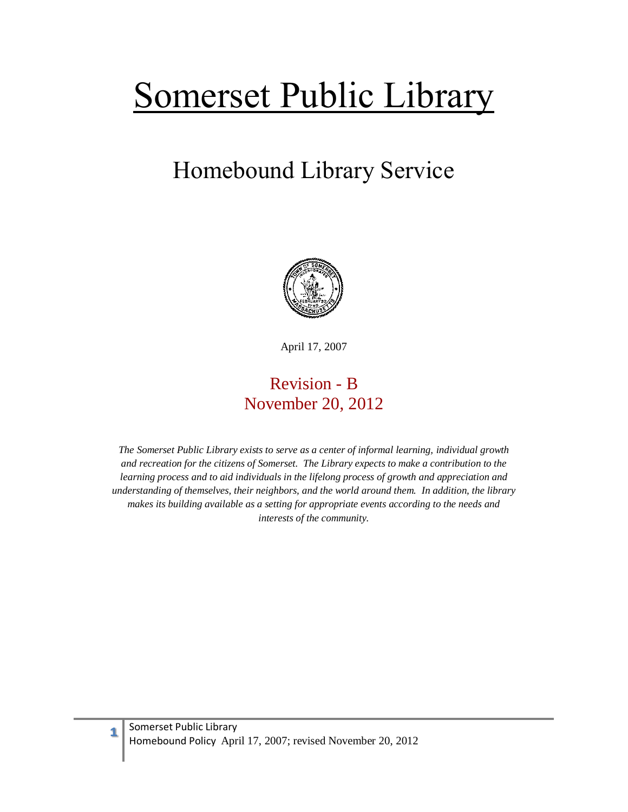# Somerset Public Library

## Homebound Library Service



April 17, 2007

### Revision - B November 20, 2012

*The Somerset Public Library exists to serve as a center of informal learning, individual growth and recreation for the citizens of Somerset. The Library expects to make a contribution to the learning process and to aid individuals in the lifelong process of growth and appreciation and understanding of themselves, their neighbors, and the world around them. In addition, the library makes its building available as a setting for appropriate events according to the needs and interests of the community.*

**1**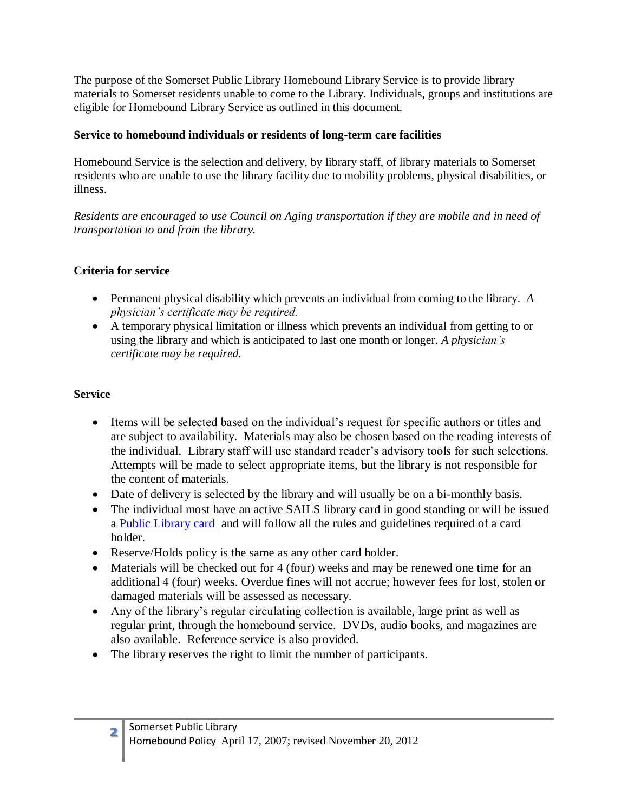The purpose of the Somerset Public Library Homebound Library Service is to provide library materials to Somerset residents unable to come to the Library. Individuals, groups and institutions are eligible for Homebound Library Service as outlined in this document.

#### **Service to homebound individuals or residents of long-term care facilities**

Homebound Service is the selection and delivery, by library staff, of library materials to Somerset residents who are unable to use the library facility due to mobility problems, physical disabilities, or illness.

*Residents are encouraged to use Council on Aging transportation if they are mobile and in need of transportation to and from the library.* 

#### **Criteria for service**

- Permanent physical disability which prevents an individual from coming to the library. *A physician's certificate may be required.*
- A temporary physical limitation or illness which prevents an individual from getting to or using the library and which is anticipated to last one month or longer. *A physician's certificate may be required.*

#### **Service**

- Items will be selected based on the individual's request for specific authors or titles and are subject to availability. Materials may also be chosen based on the reading interests of the individual. Library staff will use standard reader's advisory tools for such selections. Attempts will be made to select appropriate items, but the library is not responsible for the content of materials.
- Date of delivery is selected by the library and will usually be on a bi-monthly basis.
- The individual most have an active SAILS library card in good standing or will be issued a [Public Library card](file:///E:/Policies/Policies%20-%20Library%20Service/Library%20Card%20Policy%202011.pdf) and will follow all the rules and guidelines required of a card holder.
- Reserve/Holds policy is the same as any other card holder.
- Materials will be checked out for 4 (four) weeks and may be renewed one time for an additional 4 (four) weeks. Overdue fines will not accrue; however fees for lost, stolen or damaged materials will be assessed as necessary.
- Any of the library's regular circulating collection is available, large print as well as regular print, through the homebound service. DVDs, audio books, and magazines are also available. Reference service is also provided.
- The library reserves the right to limit the number of participants.